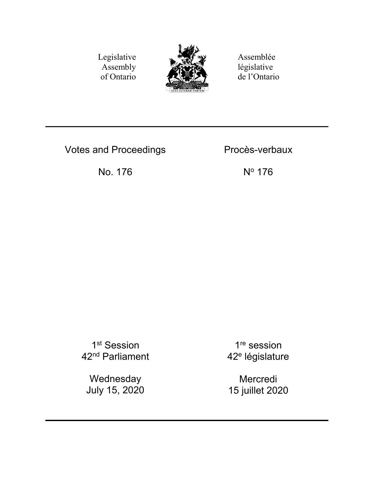Legislative Assembly of Ontario



Assemblée législative de l'Ontario

Votes and Proceedings **Proces-verbaux** 

No. 176 No 176

1st Session 42nd Parliament

Wednesday July 15, 2020

1<sup>re</sup> session 42<sup>e</sup> législature

Mercredi 15 juillet 2020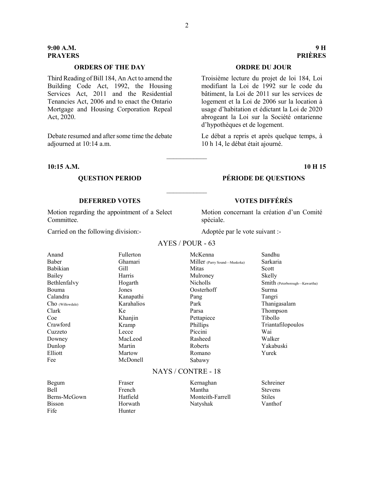# **9:00 A.M. 9 H**

### **ORDERS OF THE DAY ORDRE DU JOUR**

Third Reading of Bill 184, An Act to amend the Building Code Act, 1992, the Housing Services Act, 2011 and the Residential Tenancies Act, 2006 and to enact the Ontario Mortgage and Housing Corporation Repeal Act, 2020.

Debate resumed and after some time the debate adjourned at 10:14 a.m.

### **10:15 A.M. 10 H 15**

Bell

Bisson Fife

Berns-McGown

# **QUESTION PERIOD PÉRIODE DE QUESTIONS**

Motion regarding the appointment of a Select Committee.

> French Hatfield Horwath Hunter

Carried on the following division:-<br>
Adoptée par le vote suivant :-

### AYES / POUR - 63

 $\overline{\phantom{a}}$ 

| Anand            | Fullerton  | McKenna                      | Sandhu                        |
|------------------|------------|------------------------------|-------------------------------|
| Baber            | Ghamari    | Miller (Parry Sound-Muskoka) | Sarkaria                      |
| Babikian         | Gill       | <b>Mitas</b>                 | Scott                         |
| Bailey           | Harris     | Mulroney                     | Skelly                        |
| Bethlenfalvy     | Hogarth    | <b>Nicholls</b>              | Smith (Peterborough-Kawartha) |
| Bouma            | Jones      | Oosterhoff                   | Surma                         |
| Calandra         | Kanapathi  | Pang                         | Tangri                        |
| Cho (Willowdale) | Karahalios | Park                         | Thanigasalam                  |
| Clark            | Ke         | Parsa                        | Thompson                      |
| Coe              | Khanjin    | Pettapiece                   | Tibollo                       |
| Crawford         | Kramp      | Phillips                     | Triantafilopoulos             |
| Cuzzeto          | Lecce      | Piccini                      | Wai                           |
| Downey           | MacLeod    | Rasheed                      | Walker                        |
| Dunlop           | Martin     | Roberts                      | Yakabuski                     |
| Elliott          | Martow     | Romano                       | Yurek                         |
| Fee              | McDonell   | Sabawy                       |                               |
|                  |            | NAYS / CONTRE - 18           |                               |
| Begum            | Fraser     | Kernaghan                    | Schreiner                     |

Mantha

Monteith-Farrell Natyshak

 $\overline{\phantom{a}}$ **DEFERRED VOTES VOTES DIFFÉRÉS**

bâtiment, la Loi de 2011 sur les services de logement et la Loi de 2006 sur la location à usage d'habitation et édictant la Loi de 2020 abrogeant la Loi sur la Société ontarienne d'hypothèques et de logement.

Le débat a repris et après quelque temps, à 10 h 14, le débat était ajourné.

Troisième lecture du projet de loi 184, Loi modifiant la Loi de 1992 sur le code du

Motion concernant la création d'un Comité spéciale.

**PRAYERS PRIÈRES**

Schreiner Stevens Stiles Vanthof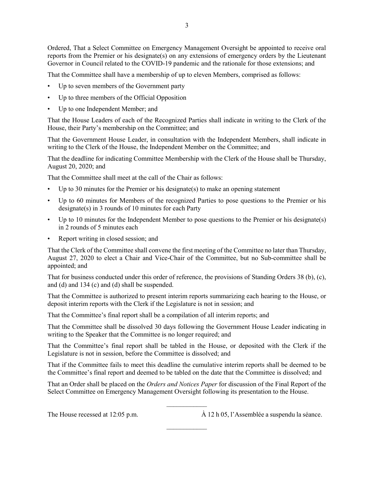Ordered, That a Select Committee on Emergency Management Oversight be appointed to receive oral reports from the Premier or his designate(s) on any extensions of emergency orders by the Lieutenant Governor in Council related to the COVID-19 pandemic and the rationale for those extensions; and

That the Committee shall have a membership of up to eleven Members, comprised as follows:

- Up to seven members of the Government party
- Up to three members of the Official Opposition
- Up to one Independent Member; and

That the House Leaders of each of the Recognized Parties shall indicate in writing to the Clerk of the House, their Party's membership on the Committee; and

That the Government House Leader, in consultation with the Independent Members, shall indicate in writing to the Clerk of the House, the Independent Member on the Committee; and

That the deadline for indicating Committee Membership with the Clerk of the House shall be Thursday, August 20, 2020; and

That the Committee shall meet at the call of the Chair as follows:

- Up to 30 minutes for the Premier or his designate(s) to make an opening statement
- Up to 60 minutes for Members of the recognized Parties to pose questions to the Premier or his designate(s) in 3 rounds of 10 minutes for each Party
- Up to 10 minutes for the Independent Member to pose questions to the Premier or his designate(s) in 2 rounds of 5 minutes each
- Report writing in closed session; and

That the Clerk of the Committee shall convene the first meeting of the Committee no later than Thursday, August 27, 2020 to elect a Chair and Vice-Chair of the Committee, but no Sub-committee shall be appointed; and

That for business conducted under this order of reference, the provisions of Standing Orders 38 (b), (c), and (d) and 134 (c) and (d) shall be suspended.

That the Committee is authorized to present interim reports summarizing each hearing to the House, or deposit interim reports with the Clerk if the Legislature is not in session; and

That the Committee's final report shall be a compilation of all interim reports; and

That the Committee shall be dissolved 30 days following the Government House Leader indicating in writing to the Speaker that the Committee is no longer required; and

That the Committee's final report shall be tabled in the House, or deposited with the Clerk if the Legislature is not in session, before the Committee is dissolved; and

That if the Committee fails to meet this deadline the cumulative interim reports shall be deemed to be the Committee's final report and deemed to be tabled on the date that the Committee is dissolved; and

That an Order shall be placed on the *Orders and Notices Paper* for discussion of the Final Report of the Select Committee on Emergency Management Oversight following its presentation to the House.

 $\frac{1}{2}$ 

 $\frac{1}{2}$ 

The House recessed at 12:05 p.m.  $\hat{A}$  12 h 05, l'Assemblée a suspendu la séance.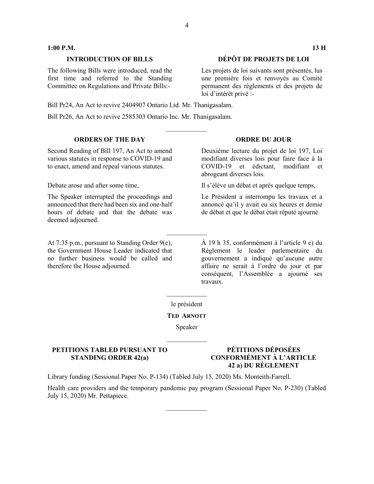$\overline{\phantom{a}}$ 

### **1:00 P.M. 13 H**

The following Bills were introduced, read the first time and referred to the Standing Committee on Regulations and Private Bills:-

Bill Pr24, An Act to revive 2404907 Ontario Ltd. Mr. Thanigasalam.

Bill Pr26, An Act to revive 2585303 Ontario Inc. Mr. Thanigasalam.

# **ORDERS OF THE DAY ORDRE DU JOUR**

Second Reading of Bill 197, An Act to amend various statutes in response to COVID-19 and to enact, amend and repeal various statutes.

The Speaker interrupted the proceedings and announced that there had been six and one-half hours of debate and that the debate was deemed adjourned.

At 7:35 p.m., pursuant to Standing Order 9(e), the Government House Leader indicated that no further business would be called and therefore the House adjourned.

# **INTRODUCTION OF BILLS DÉPÔT DE PROJETS DE LOI**

Les projets de loi suivants sont présentés, lus une première fois et renvoyés au Comité permanent des règlements et des projets de loi d'intérêt privé :-

Deuxième lecture du projet de loi 197, Loi modifiant diverses lois pour faire face à la COVID-19 et édictant, modifiant et abrogeant diverses lois.

Debate arose and after some time, Il s'élève un débat et après quelque temps,

Le Président a interrompu les travaux et a annoncé qu'il y avait eu six heures et demie de débat et que le débat était réputé ajourné.

À 19 h 35, conformément à l'article 9 e) du Règlement le leader parlementaire du gouvernement a indiqué qu'aucune autre affaire ne serait à l'ordre du jour et par conséquent, l'Assemblée a ajourné ses travaux.

 $\frac{1}{2}$ le président

 $\frac{1}{2}$ 

**TED ARNOTT**

Speaker  $\overline{\phantom{a}}$ 

## **PETITIONS TABLED PURSUANT TO STANDING ORDER 42(a)**

# **PÉTITIONS DÉPOSÉES CONFORMÉMENT À L'ARTICLE 42 a) DU RÈGLEMENT**

Library funding (Sessional Paper No. P-134) (Tabled July 15, 2020) Ms. Monteith-Farrell.

Health care providers and the temporary pandemic pay program (Sessional Paper No. P-230) (Tabled July 15, 2020) Mr. Pettapiece.

 $\frac{1}{2}$